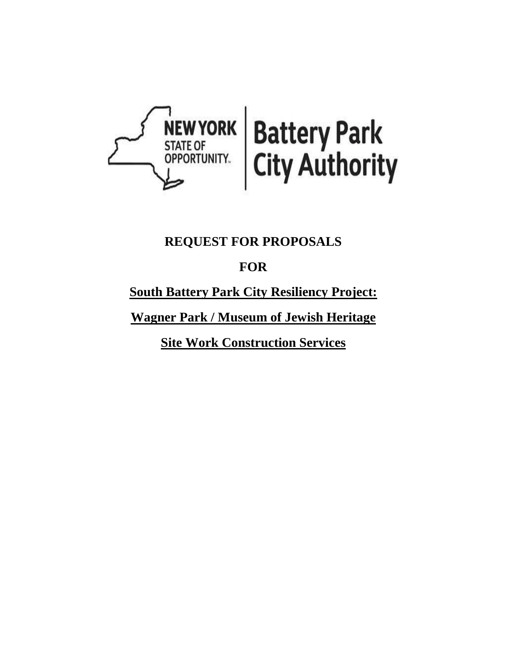

# **REQUEST FOR PROPOSALS**

# **FOR**

# **South Battery Park City Resiliency Project:**

# **Wagner Park / Museum of Jewish Heritage**

**Site Work Construction Services**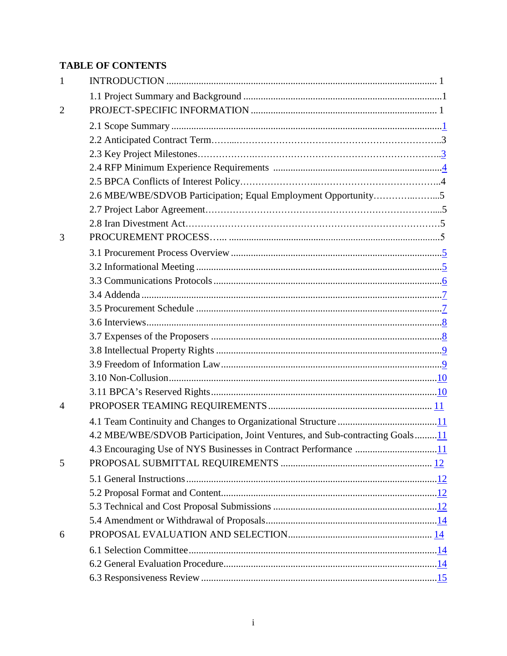# **TABLE OF CONTENTS**

| 1              |                                                                              |
|----------------|------------------------------------------------------------------------------|
|                |                                                                              |
| $\overline{2}$ |                                                                              |
|                |                                                                              |
|                |                                                                              |
|                |                                                                              |
|                |                                                                              |
|                |                                                                              |
|                | 2.6 MBE/WBE/SDVOB Participation; Equal Employment Opportunity5               |
|                |                                                                              |
|                |                                                                              |
| 3              |                                                                              |
|                |                                                                              |
|                |                                                                              |
|                |                                                                              |
|                |                                                                              |
|                |                                                                              |
|                |                                                                              |
|                |                                                                              |
|                |                                                                              |
|                |                                                                              |
|                |                                                                              |
|                |                                                                              |
| $\overline{A}$ |                                                                              |
|                |                                                                              |
|                | 4.2 MBE/WBE/SDVOB Participation, Joint Ventures, and Sub-contracting Goals11 |
|                |                                                                              |
| 5              |                                                                              |
|                |                                                                              |
|                |                                                                              |
|                |                                                                              |
|                |                                                                              |
| 6              |                                                                              |
|                |                                                                              |
|                |                                                                              |
|                |                                                                              |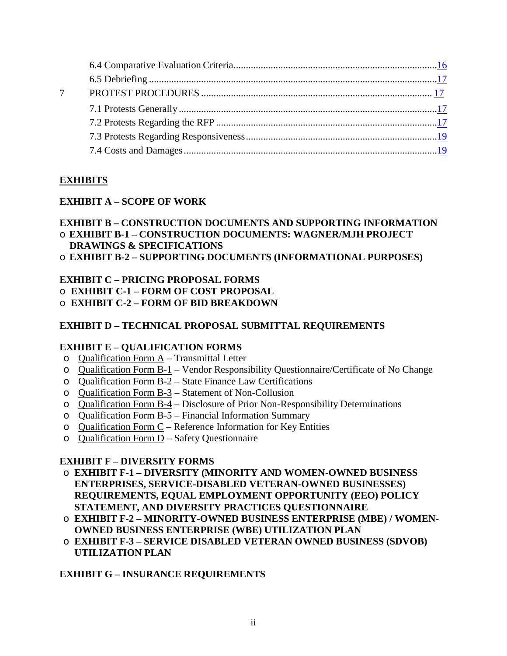| $\overline{7}$ |  |
|----------------|--|
|                |  |
|                |  |
|                |  |
|                |  |
|                |  |

## **EXHIBITS**

## **EXHIBIT A – SCOPE OF WORK**

#### **EXHIBIT B – CONSTRUCTION DOCUMENTS AND SUPPORTING INFORMATION** o **EXHIBIT B-1 – CONSTRUCTION DOCUMENTS: WAGNER/MJH PROJECT DRAWINGS & SPECIFICATIONS**

o **EXHIBIT B-2 – SUPPORTING DOCUMENTS (INFORMATIONAL PURPOSES)**

## **EXHIBIT C – PRICING PROPOSAL FORMS**

- o **EXHIBIT C-1 – FORM OF COST PROPOSAL**
- o **EXHIBIT C-2 – FORM OF BID BREAKDOWN**

## **EXHIBIT D – TECHNICAL PROPOSAL SUBMITTAL REQUIREMENTS**

#### **EXHIBIT E – QUALIFICATION FORMS**

- $o$  Qualification Form  $A T$ ransmittal Letter
- o Qualification Form B-1 Vendor Responsibility Questionnaire/Certificate of No Change
- o Qualification Form B-2 State Finance Law Certifications
- o Qualification Form B-3 Statement of Non-Collusion
- o Qualification Form B-4 Disclosure of Prior Non-Responsibility Determinations
- o Qualification Form B-5 Financial Information Summary
- o Qualification Form C Reference Information for Key Entities
- o Qualification Form D Safety Questionnaire

## **EXHIBIT F – DIVERSITY FORMS**

- o **EXHIBIT F-1 – DIVERSITY (MINORITY AND WOMEN-OWNED BUSINESS ENTERPRISES, SERVICE-DISABLED VETERAN-OWNED BUSINESSES) REQUIREMENTS, EQUAL EMPLOYMENT OPPORTUNITY (EEO) POLICY STATEMENT, AND DIVERSITY PRACTICES QUESTIONNAIRE**
- o **EXHIBIT F-2 – MINORITY-OWNED BUSINESS ENTERPRISE (MBE) / WOMEN-OWNED BUSINESS ENTERPRISE (WBE) UTILIZATION PLAN**
- o **EXHIBIT F-3 – SERVICE DISABLED VETERAN OWNED BUSINESS (SDVOB) UTILIZATION PLAN**

## **EXHIBIT G – INSURANCE REQUIREMENTS**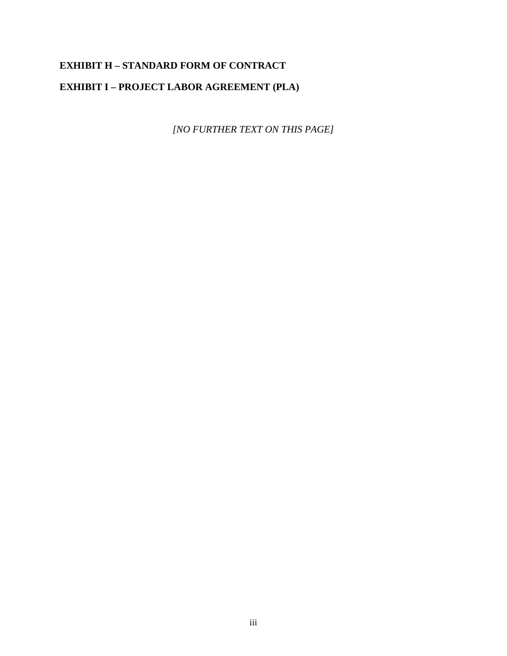# **EXHIBIT H – STANDARD FORM OF CONTRACT EXHIBIT I – PROJECT LABOR AGREEMENT (PLA)**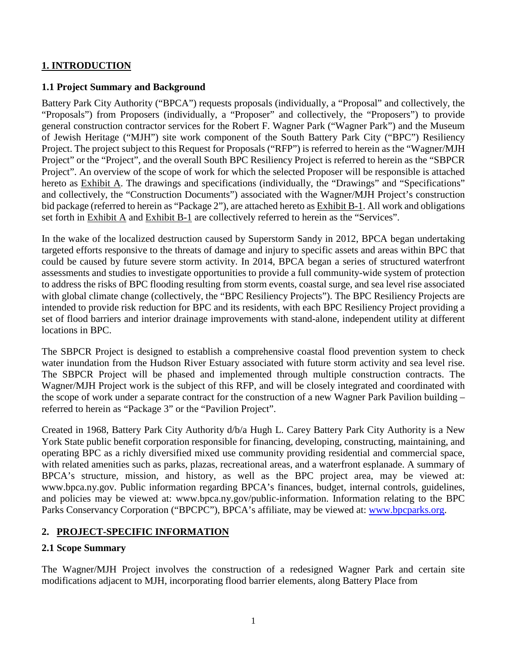## **1. INTRODUCTION**

#### **1.1 Project Summary and Background**

Battery Park City Authority ("BPCA") requests proposals (individually, a "Proposal" and collectively, the "Proposals") from Proposers (individually, a "Proposer" and collectively, the "Proposers") to provide general construction contractor services for the Robert F. Wagner Park ("Wagner Park") and the Museum of Jewish Heritage ("MJH") site work component of the South Battery Park City ("BPC") Resiliency Project. The project subject to this Request for Proposals ("RFP") is referred to herein as the "Wagner/MJH Project" or the "Project", and the overall South BPC Resiliency Project is referred to herein as the "SBPCR Project". An overview of the scope of work for which the selected Proposer will be responsible is attached hereto as Exhibit A. The drawings and specifications (individually, the "Drawings" and "Specifications" and collectively, the "Construction Documents") associated with the Wagner/MJH Project's construction bid package (referred to herein as "Package 2"), are attached hereto as Exhibit B-1. All work and obligations set forth in Exhibit A and Exhibit B-1 are collectively referred to herein as the "Services".

In the wake of the localized destruction caused by Superstorm Sandy in 2012, BPCA began undertaking targeted efforts responsive to the threats of damage and injury to specific assets and areas within BPC that could be caused by future severe storm activity. In 2014, BPCA began a series of structured waterfront assessments and studies to investigate opportunities to provide a full community-wide system of protection to address the risks of BPC flooding resulting from storm events, coastal surge, and sea level rise associated with global climate change (collectively, the "BPC Resiliency Projects"). The BPC Resiliency Projects are intended to provide risk reduction for BPC and its residents, with each BPC Resiliency Project providing a set of flood barriers and interior drainage improvements with stand-alone, independent utility at different locations in BPC.

The SBPCR Project is designed to establish a comprehensive coastal flood prevention system to check water inundation from the Hudson River Estuary associated with future storm activity and sea level rise. The SBPCR Project will be phased and implemented through multiple construction contracts. The Wagner/MJH Project work is the subject of this RFP, and will be closely integrated and coordinated with the scope of work under a separate contract for the construction of a new Wagner Park Pavilion building – referred to herein as "Package 3" or the "Pavilion Project".

Created in 1968, Battery Park City Authority d/b/a Hugh L. Carey Battery Park City Authority is a New York State public benefit corporation responsible for financing, developing, constructing, maintaining, and operating BPC as a richly diversified mixed use community providing residential and commercial space, with related amenities such as parks, plazas, recreational areas, and a waterfront esplanade. A summary of BPCA's structure, mission, and history, as well as the BPC project area, may be viewed at: www.bpca.ny.gov. Public information regarding BPCA's finances, budget, internal controls, guidelines, and policies may be viewed at: www.bpca.ny.gov/public-information. Information relating to the BPC Parks Conservancy Corporation ("BPCPC"), BPCA's affiliate, may be viewed at: [www.bpcparks.org.](http://www.bpcparks.org/)

## **2. PROJECT-SPECIFIC INFORMATION**

#### **2.1 Scope Summary**

The Wagner/MJH Project involves the construction of a redesigned Wagner Park and certain site modifications adjacent to MJH, incorporating flood barrier elements, along Battery Place from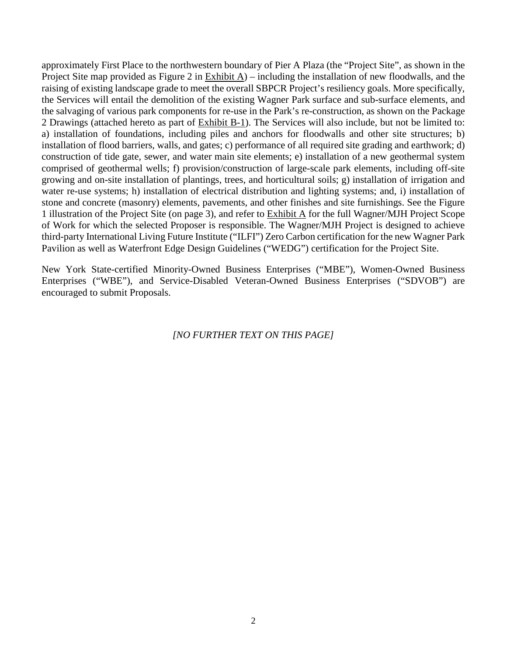approximately First Place to the northwestern boundary of Pier A Plaza (the "Project Site", as shown in the Project Site map provided as Figure 2 in Exhibit A) – including the installation of new floodwalls, and the raising of existing landscape grade to meet the overall SBPCR Project's resiliency goals. More specifically, the Services will entail the demolition of the existing Wagner Park surface and sub-surface elements, and the salvaging of various park components for re-use in the Park's re-construction, as shown on the Package 2 Drawings (attached hereto as part of Exhibit B-1). The Services will also include, but not be limited to: a) installation of foundations, including piles and anchors for floodwalls and other site structures; b) installation of flood barriers, walls, and gates; c) performance of all required site grading and earthwork; d) construction of tide gate, sewer, and water main site elements; e) installation of a new geothermal system comprised of geothermal wells; f) provision/construction of large-scale park elements, including off-site growing and on-site installation of plantings, trees, and horticultural soils; g) installation of irrigation and water re-use systems; h) installation of electrical distribution and lighting systems; and, i) installation of stone and concrete (masonry) elements, pavements, and other finishes and site furnishings. See the Figure 1 illustration of the Project Site (on page 3), and refer to Exhibit A for the full Wagner/MJH Project Scope of Work for which the selected Proposer is responsible. The Wagner/MJH Project is designed to achieve third-party International Living Future Institute ("ILFI") Zero Carbon certification for the new Wagner Park Pavilion as well as Waterfront Edge Design Guidelines ("WEDG") certification for the Project Site.

New York State-certified Minority-Owned Business Enterprises ("MBE"), Women-Owned Business Enterprises ("WBE"), and Service-Disabled Veteran-Owned Business Enterprises ("SDVOB") are encouraged to submit Proposals.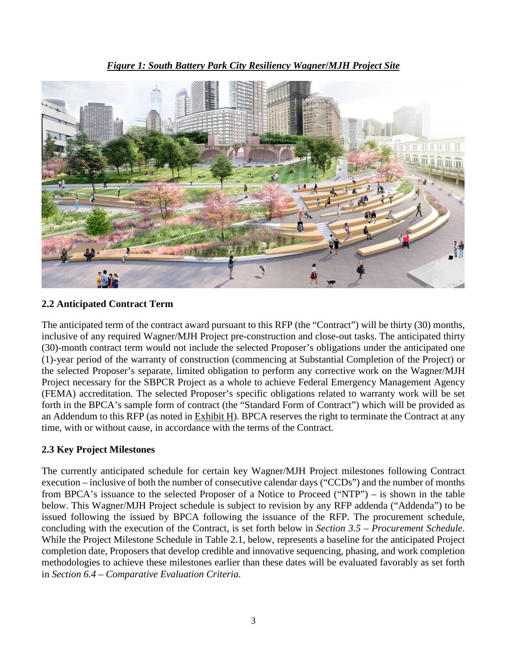*Figure 1: South Battery Park City Resiliency Wagner***/***MJH Project Site*



## **2.2 Anticipated Contract Term**

The anticipated term of the contract award pursuant to this RFP (the "Contract") will be thirty (30) months, inclusive of any required Wagner/MJH Project pre-construction and close-out tasks. The anticipated thirty (30)-month contract term would not include the selected Proposer's obligations under the anticipated one (1)-year period of the warranty of construction (commencing at Substantial Completion of the Project) or the selected Proposer's separate, limited obligation to perform any corrective work on the Wagner/MJH Project necessary for the SBPCR Project as a whole to achieve Federal Emergency Management Agency (FEMA) accreditation. The selected Proposer's specific obligations related to warranty work will be set forth in the BPCA's sample form of contract (the "Standard Form of Contract") which will be provided as an Addendum to this RFP (as noted in Exhibit H). BPCA reserves the right to terminate the Contract at any time, with or without cause, in accordance with the terms of the Contract.

## **2.3 Key Project Milestones**

The currently anticipated schedule for certain key Wagner/MJH Project milestones following Contract execution – inclusive of both the number of consecutive calendar days ("CCDs") and the number of months from BPCA's issuance to the selected Proposer of a Notice to Proceed ("NTP") – is shown in the table below. This Wagner/MJH Project schedule is subject to revision by any RFP addenda ("Addenda") to be issued following the issued by BPCA following the issuance of the RFP. The procurement schedule, concluding with the execution of the Contract, is set forth below in *Section 3.5 – Procurement Schedule*. While the Project Milestone Schedule in Table 2.1, below, represents a baseline for the anticipated Project completion date, Proposers that develop credible and innovative sequencing, phasing, and work completion methodologies to achieve these milestones earlier than these dates will be evaluated favorably as set forth in *Section 6.4 – Comparative Evaluation Criteria*.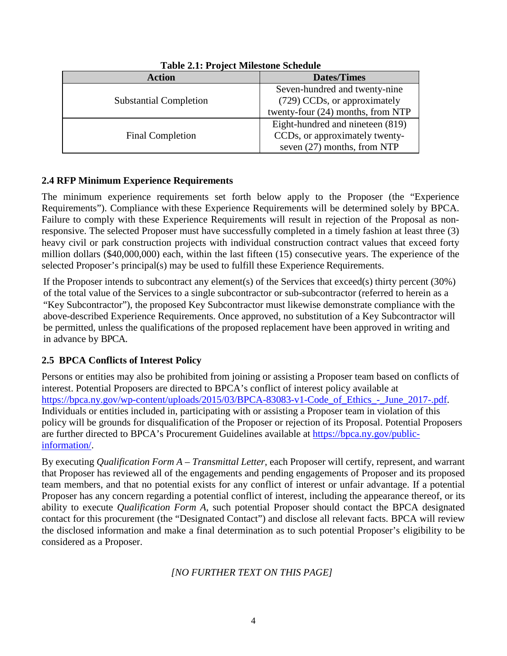| <b>Action</b>                 | <b>Dates/Times</b>                |
|-------------------------------|-----------------------------------|
|                               | Seven-hundred and twenty-nine     |
| <b>Substantial Completion</b> | (729) CCDs, or approximately      |
|                               | twenty-four (24) months, from NTP |
|                               | Eight-hundred and nineteen (819)  |
| <b>Final Completion</b>       | CCDs, or approximately twenty-    |
|                               | seven $(27)$ months, from NTP     |

**Table 2.1: Project Milestone Schedule**

## **2.4 RFP Minimum Experience Requirements**

The minimum experience requirements set forth below apply to the Proposer (the "Experience Requirements"). Compliance with these Experience Requirements will be determined solely by BPCA. Failure to comply with these Experience Requirements will result in rejection of the Proposal as nonresponsive. The selected Proposer must have successfully completed in a timely fashion at least three (3) heavy civil or park construction projects with individual construction contract values that exceed forty million dollars (\$40,000,000) each, within the last fifteen (15) consecutive years. The experience of the selected Proposer's principal(s) may be used to fulfill these Experience Requirements.

If the Proposer intends to subcontract any element(s) of the Services that exceed(s) thirty percent (30%) of the total value of the Services to a single subcontractor or sub-subcontractor (referred to herein as a "Key Subcontractor"), the proposed Key Subcontractor must likewise demonstrate compliance with the above-described Experience Requirements. Once approved, no substitution of a Key Subcontractor will be permitted, unless the qualifications of the proposed replacement have been approved in writing and in advance by BPCA.

## **2.5****BPCA Conflicts of Interest Policy**

Persons or entities may also be prohibited from joining or assisting a Proposer team based on conflicts of interest. Potential Proposers are directed to BPCA's conflict of interest policy available at https://bpca.ny.gov/wp-content/uploads/2015/03/BPCA-83083-v1-Code of Ethics - June 2017-.pdf. Individuals or entities included in, participating with or assisting a Proposer team in violation of this policy will be grounds for disqualification of the Proposer or rejection of its Proposal. Potential Proposers are further directed to BPCA's Procurement Guidelines available at [https://bpca.ny.gov/public](https://bpca.ny.gov/public-%20information/)[information/.](https://bpca.ny.gov/public-%20information/)

By executing *Qualification Form A – Transmittal Letter*, each Proposer will certify, represent, and warrant that Proposer has reviewed all of the engagements and pending engagements of Proposer and its proposed team members, and that no potential exists for any conflict of interest or unfair advantage. If a potential Proposer has any concern regarding a potential conflict of interest, including the appearance thereof, or its ability to execute *Qualification Form A*, such potential Proposer should contact the BPCA designated contact for this procurement (the "Designated Contact") and disclose all relevant facts. BPCA will review the disclosed information and make a final determination as to such potential Proposer's eligibility to be considered as a Proposer.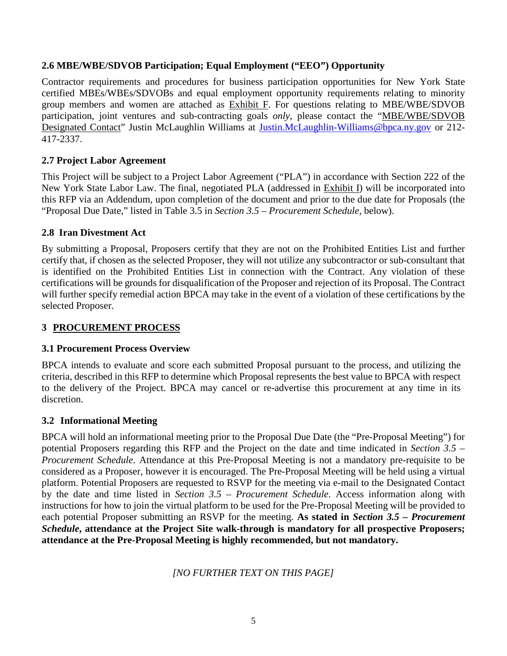#### **2.6 MBE/WBE/SDVOB Participation; Equal Employment ("EEO") Opportunity**

Contractor requirements and procedures for business participation opportunities for New York State certified MBEs/WBEs/SDVOBs and equal employment opportunity requirements relating to minority group members and women are attached as Exhibit F. For questions relating to MBE/WBE/SDVOB participation, joint ventures and sub-contracting goals *only*, please contact the "MBE/WBE/SDVOB Designated Contact" Justin McLaughlin Williams at [Justin.McLaughlin-Williams@bpca.ny.gov](mailto:Anthony.peterson@bpca.ny.gov) or 212- 417-2337.

## **2.7 Project Labor Agreement**

This Project will be subject to a Project Labor Agreement ("PLA") in accordance with Section 222 of the New York State Labor Law. The final, negotiated PLA (addressed in Exhibit I) will be incorporated into this RFP via an Addendum, upon completion of the document and prior to the due date for Proposals (the "Proposal Due Date," listed in Table 3.5 in *Section 3.5 – Procurement Schedule*, below).

## **2.8 Iran Divestment Act**

By submitting a Proposal, Proposers certify that they are not on the Prohibited Entities List and further certify that, if chosen as the selected Proposer, they will not utilize any subcontractor or sub-consultant that is identified on the Prohibited Entities List in connection with the Contract. Any violation of these certifications will be grounds for disqualification of the Proposer and rejection of its Proposal. The Contract will further specify remedial action BPCA may take in the event of a violation of these certifications by the selected Proposer.

### **3 PROCUREMENT PROCESS**

## **3.1 Procurement Process Overview**

BPCA intends to evaluate and score each submitted Proposal pursuant to the process, and utilizing the criteria, described in this RFP to determine which Proposal represents the best value to BPCA with respect to the delivery of the Project. BPCA may cancel or re-advertise this procurement at any time in its discretion.

#### **3.2 Informational Meeting**

BPCA will hold an informational meeting prior to the Proposal Due Date (the "Pre-Proposal Meeting") for potential Proposers regarding this RFP and the Project on the date and time indicated in *Section 3.5 – Procurement Schedule*. Attendance at this Pre-Proposal Meeting is not a mandatory pre-requisite to be considered as a Proposer, however it is encouraged. The Pre-Proposal Meeting will be held using a virtual platform. Potential Proposers are requested to RSVP for the meeting via e-mail to the Designated Contact by the date and time listed in *Section 3.5 – Procurement Schedule*. Access information along with instructions for how to join the virtual platform to be used for the Pre-Proposal Meeting will be provided to each potential Proposer submitting an RSVP for the meeting. **As stated in** *Section 3.5 – Procurement Schedule***, attendance at the Project Site walk-through is mandatory for all prospective Proposers; attendance at the Pre-Proposal Meeting is highly recommended, but not mandatory.**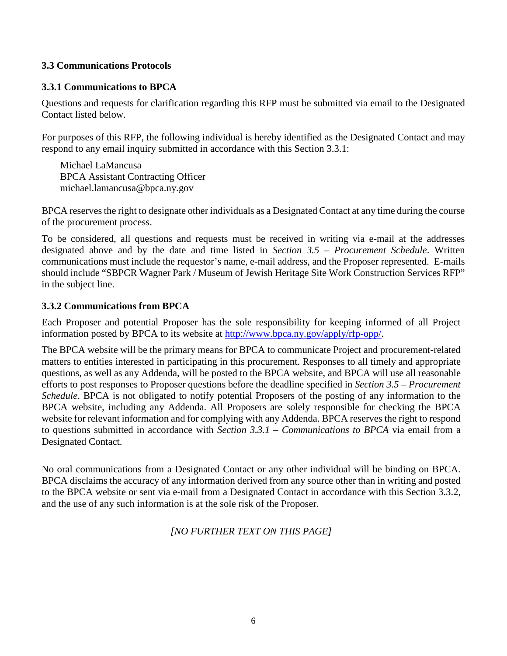#### **3.3 Communications Protocols**

#### **3.3.1 Communications to BPCA**

Questions and requests for clarification regarding this RFP must be submitted via email to the Designated Contact listed below.

For purposes of this RFP, the following individual is hereby identified as the Designated Contact and may respond to any email inquiry submitted in accordance with this Section 3.3.1:

Michael LaMancusa BPCA Assistant Contracting Officer michael.lamancusa@bpca.ny.gov

BPCA reserves the right to designate other individuals as a Designated Contact at any time during the course of the procurement process.

To be considered, all questions and requests must be received in writing via e-mail at the addresses designated above and by the date and time listed in *Section 3.5 – Procurement Schedule*. Written communications must include the requestor's name, e-mail address, and the Proposer represented. E-mails should include "SBPCR Wagner Park / Museum of Jewish Heritage Site Work Construction Services RFP" in the subject line.

#### **3.3.2 Communications from BPCA**

Each Proposer and potential Proposer has the sole responsibility for keeping informed of all Project information posted by BPCA to its website at [http://www.bpca.ny.gov/apply/rfp-opp/.](http://www.bpca.ny.gov/apply/rfp-opp/)

The BPCA website will be the primary means for BPCA to communicate Project and procurement-related matters to entities interested in participating in this procurement. Responses to all timely and appropriate questions, as well as any Addenda, will be posted to the BPCA website, and BPCA will use all reasonable efforts to post responses to Proposer questions before the deadline specified in *Section 3.5 – Procurement Schedule*. BPCA is not obligated to notify potential Proposers of the posting of any information to the BPCA website, including any Addenda. All Proposers are solely responsible for checking the BPCA website for relevant information and for complying with any Addenda. BPCA reserves the right to respond to questions submitted in accordance with *Section 3.3.1 – Communications to BPCA* via email from a Designated Contact.

No oral communications from a Designated Contact or any other individual will be binding on BPCA. BPCA disclaims the accuracy of any information derived from any source other than in writing and posted to the BPCA website or sent via e-mail from a Designated Contact in accordance with this Section 3.3.2, and the use of any such information is at the sole risk of the Proposer.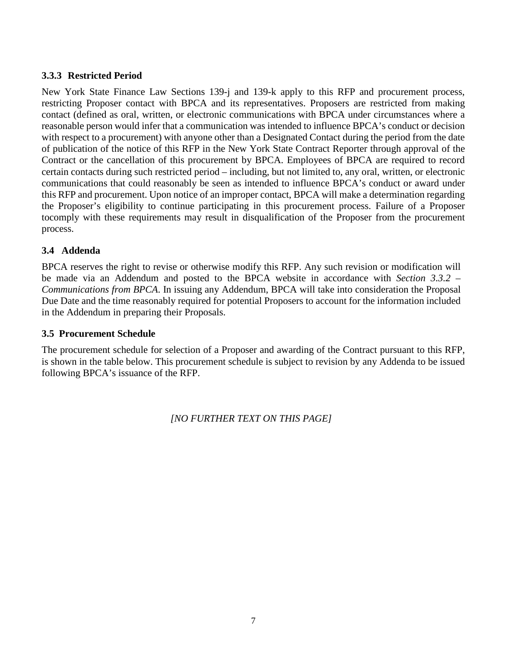#### **3.3.3 Restricted Period**

New York State Finance Law Sections 139-j and 139-k apply to this RFP and procurement process, restricting Proposer contact with BPCA and its representatives. Proposers are restricted from making contact (defined as oral, written, or electronic communications with BPCA under circumstances where a reasonable person would infer that a communication was intended to influence BPCA's conduct or decision with respect to a procurement) with anyone other than a Designated Contact during the period from the date of publication of the notice of this RFP in the New York State Contract Reporter through approval of the Contract or the cancellation of this procurement by BPCA. Employees of BPCA are required to record certain contacts during such restricted period – including, but not limited to, any oral, written, or electronic communications that could reasonably be seen as intended to influence BPCA's conduct or award under this RFP and procurement. Upon notice of an improper contact, BPCA will make a determination regarding the Proposer's eligibility to continue participating in this procurement process. Failure of a Proposer tocomply with these requirements may result in disqualification of the Proposer from the procurement process.

#### **3.4 Addenda**

BPCA reserves the right to revise or otherwise modify this RFP. Any such revision or modification will be made via an Addendum and posted to the BPCA website in accordance with *Section 3.3.2 – Communications from BPCA*. In issuing any Addendum, BPCA will take into consideration the Proposal Due Date and the time reasonably required for potential Proposers to account for the information included in the Addendum in preparing their Proposals.

#### **3.5 Procurement Schedule**

The procurement schedule for selection of a Proposer and awarding of the Contract pursuant to this RFP, is shown in the table below. This procurement schedule is subject to revision by any Addenda to be issued following BPCA's issuance of the RFP.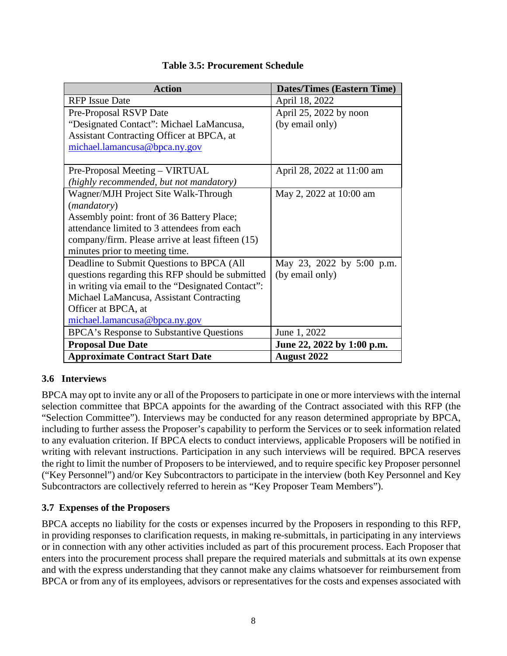| <b>Action</b>                                     | <b>Dates/Times (Eastern Time)</b> |  |
|---------------------------------------------------|-----------------------------------|--|
| <b>RFP</b> Issue Date                             | April 18, 2022                    |  |
| Pre-Proposal RSVP Date                            | April 25, 2022 by noon            |  |
| "Designated Contact": Michael LaMancusa,          | (by email only)                   |  |
| Assistant Contracting Officer at BPCA, at         |                                   |  |
| michael.lamancusa@bpca.ny.gov                     |                                   |  |
|                                                   |                                   |  |
| Pre-Proposal Meeting – VIRTUAL                    | April 28, 2022 at 11:00 am        |  |
| (highly recommended, but not mandatory)           |                                   |  |
| Wagner/MJH Project Site Walk-Through              | May 2, 2022 at 10:00 am           |  |
| ( <i>mandatory</i> )                              |                                   |  |
| Assembly point: front of 36 Battery Place;        |                                   |  |
| attendance limited to 3 attendees from each       |                                   |  |
| company/firm. Please arrive at least fifteen (15) |                                   |  |
| minutes prior to meeting time.                    |                                   |  |
| Deadline to Submit Questions to BPCA (All         | May 23, 2022 by 5:00 p.m.         |  |
| questions regarding this RFP should be submitted  | (by email only)                   |  |
| in writing via email to the "Designated Contact": |                                   |  |
| Michael LaMancusa, Assistant Contracting          |                                   |  |
| Officer at BPCA, at                               |                                   |  |
| michael.lamancusa@bpca.ny.gov                     |                                   |  |
| BPCA's Response to Substantive Questions          | June 1, 2022                      |  |
| <b>Proposal Due Date</b>                          | June 22, 2022 by 1:00 p.m.        |  |
| <b>Approximate Contract Start Date</b>            | <b>August 2022</b>                |  |

## **Table 3.5: Procurement Schedule**

#### **3.6 Interviews**

BPCA may opt to invite any or all of the Proposers to participate in one or more interviews with the internal selection committee that BPCA appoints for the awarding of the Contract associated with this RFP (the "Selection Committee"). Interviews may be conducted for any reason determined appropriate by BPCA, including to further assess the Proposer's capability to perform the Services or to seek information related to any evaluation criterion. If BPCA elects to conduct interviews, applicable Proposers will be notified in writing with relevant instructions. Participation in any such interviews will be required. BPCA reserves the right to limit the number of Proposers to be interviewed, and to require specific key Proposer personnel ("Key Personnel") and/or Key Subcontractors to participate in the interview (both Key Personnel and Key Subcontractors are collectively referred to herein as "Key Proposer Team Members").

#### **3.7 Expenses of the Proposers**

BPCA accepts no liability for the costs or expenses incurred by the Proposers in responding to this RFP, in providing responses to clarification requests, in making re-submittals, in participating in any interviews or in connection with any other activities included as part of this procurement process. Each Proposer that enters into the procurement process shall prepare the required materials and submittals at its own expense and with the express understanding that they cannot make any claims whatsoever for reimbursement from BPCA or from any of its employees, advisors or representatives for the costs and expenses associated with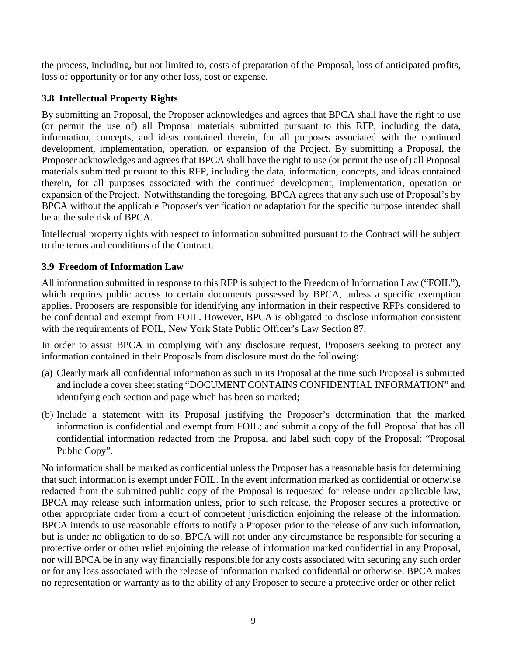the process, including, but not limited to, costs of preparation of the Proposal, loss of anticipated profits, loss of opportunity or for any other loss, cost or expense.

## **3.8 Intellectual Property Rights**

By submitting an Proposal, the Proposer acknowledges and agrees that BPCA shall have the right to use (or permit the use of) all Proposal materials submitted pursuant to this RFP, including the data, information, concepts, and ideas contained therein, for all purposes associated with the continued development, implementation, operation, or expansion of the Project. By submitting a Proposal, the Proposer acknowledges and agrees that BPCA shall have the right to use (or permit the use of) all Proposal materials submitted pursuant to this RFP, including the data, information, concepts, and ideas contained therein, for all purposes associated with the continued development, implementation, operation or expansion of the Project. Notwithstanding the foregoing, BPCA agrees that any such use of Proposal's by BPCA without the applicable Proposer's verification or adaptation for the specific purpose intended shall be at the sole risk of BPCA.

Intellectual property rights with respect to information submitted pursuant to the Contract will be subject to the terms and conditions of the Contract.

## **3.9 Freedom of Information Law**

All information submitted in response to this RFP is subject to the Freedom of Information Law ("FOIL"), which requires public access to certain documents possessed by BPCA, unless a specific exemption applies. Proposers are responsible for identifying any information in their respective RFPs considered to be confidential and exempt from FOIL. However, BPCA is obligated to disclose information consistent with the requirements of FOIL, New York State Public Officer's Law Section 87.

In order to assist BPCA in complying with any disclosure request, Proposers seeking to protect any information contained in their Proposals from disclosure must do the following:

- (a) Clearly mark all confidential information as such in its Proposal at the time such Proposal is submitted and include a cover sheet stating "DOCUMENT CONTAINS CONFIDENTIAL INFORMATION" and identifying each section and page which has been so marked;
- (b) Include a statement with its Proposal justifying the Proposer's determination that the marked information is confidential and exempt from FOIL; and submit a copy of the full Proposal that has all confidential information redacted from the Proposal and label such copy of the Proposal: "Proposal Public Copy".

No information shall be marked as confidential unless the Proposer has a reasonable basis for determining that such information is exempt under FOIL. In the event information marked as confidential or otherwise redacted from the submitted public copy of the Proposal is requested for release under applicable law, BPCA may release such information unless, prior to such release, the Proposer secures a protective or other appropriate order from a court of competent jurisdiction enjoining the release of the information. BPCA intends to use reasonable efforts to notify a Proposer prior to the release of any such information, but is under no obligation to do so. BPCA will not under any circumstance be responsible for securing a protective order or other relief enjoining the release of information marked confidential in any Proposal, nor will BPCA be in any way financially responsible for any costs associated with securing any such order or for any loss associated with the release of information marked confidential or otherwise. BPCA makes no representation or warranty as to the ability of any Proposer to secure a protective order or other relief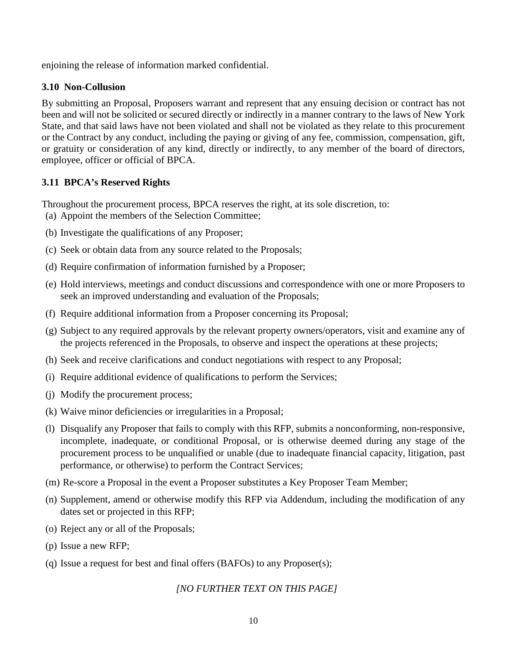enjoining the release of information marked confidential.

#### **3.10 Non-Collusion**

By submitting an Proposal, Proposers warrant and represent that any ensuing decision or contract has not been and will not be solicited or secured directly or indirectly in a manner contrary to the laws of New York State, and that said laws have not been violated and shall not be violated as they relate to this procurement or the Contract by any conduct, including the paying or giving of any fee, commission, compensation, gift, or gratuity or consideration of any kind, directly or indirectly, to any member of the board of directors, employee, officer or official of BPCA.

#### **3.11 BPCA's Reserved Rights**

Throughout the procurement process, BPCA reserves the right, at its sole discretion, to: (a) Appoint the members of the Selection Committee;

- (b) Investigate the qualifications of any Proposer;
- (c) Seek or obtain data from any source related to the Proposals;
- (d) Require confirmation of information furnished by a Proposer;
- (e) Hold interviews, meetings and conduct discussions and correspondence with one or more Proposers to seek an improved understanding and evaluation of the Proposals;
- (f) Require additional information from a Proposer concerning its Proposal;
- (g) Subject to any required approvals by the relevant property owners/operators, visit and examine any of the projects referenced in the Proposals, to observe and inspect the operations at these projects;
- (h) Seek and receive clarifications and conduct negotiations with respect to any Proposal;
- (i) Require additional evidence of qualifications to perform the Services;
- (j) Modify the procurement process;
- (k) Waive minor deficiencies or irregularities in a Proposal;
- (l) Disqualify any Proposer that fails to comply with this RFP, submits a nonconforming, non-responsive, incomplete, inadequate, or conditional Proposal, or is otherwise deemed during any stage of the procurement process to be unqualified or unable (due to inadequate financial capacity, litigation, past performance, or otherwise) to perform the Contract Services;
- (m) Re-score a Proposal in the event a Proposer substitutes a Key Proposer Team Member;
- (n) Supplement, amend or otherwise modify this RFP via Addendum, including the modification of any dates set or projected in this RFP;
- (o) Reject any or all of the Proposals;
- (p) Issue a new RFP;
- (q) Issue a request for best and final offers (BAFOs) to any Proposer(s);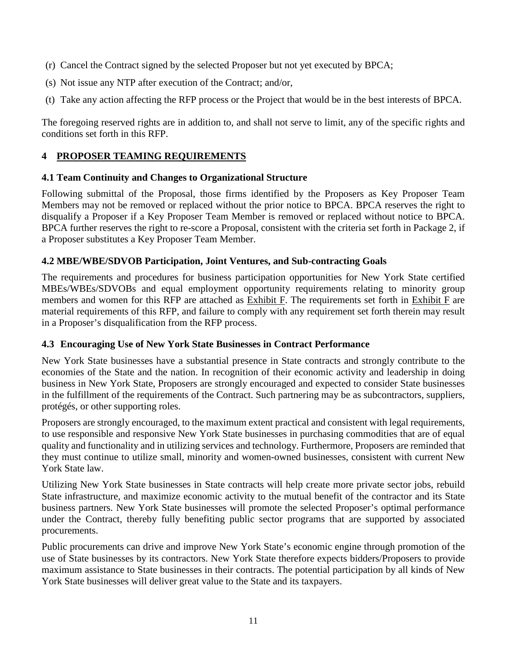- (r) Cancel the Contract signed by the selected Proposer but not yet executed by BPCA;
- (s) Not issue any NTP after execution of the Contract; and/or,
- (t) Take any action affecting the RFP process or the Project that would be in the best interests of BPCA.

The foregoing reserved rights are in addition to, and shall not serve to limit, any of the specific rights and conditions set forth in this RFP.

## **4 PROPOSER TEAMING REQUIREMENTS**

#### **4.1 Team Continuity and Changes to Organizational Structure**

Following submittal of the Proposal, those firms identified by the Proposers as Key Proposer Team Members may not be removed or replaced without the prior notice to BPCA. BPCA reserves the right to disqualify a Proposer if a Key Proposer Team Member is removed or replaced without notice to BPCA. BPCA further reserves the right to re-score a Proposal, consistent with the criteria set forth in Package 2, if a Proposer substitutes a Key Proposer Team Member.

## **4.2 MBE/WBE/SDVOB Participation, Joint Ventures, and Sub-contracting Goals**

The requirements and procedures for business participation opportunities for New York State certified MBEs/WBEs/SDVOBs and equal employment opportunity requirements relating to minority group members and women for this RFP are attached as Exhibit F. The requirements set forth in Exhibit F are material requirements of this RFP, and failure to comply with any requirement set forth therein may result in a Proposer's disqualification from the RFP process.

#### **4.3 Encouraging Use of New York State Businesses in Contract Performance**

New York State businesses have a substantial presence in State contracts and strongly contribute to the economies of the State and the nation. In recognition of their economic activity and leadership in doing business in New York State, Proposers are strongly encouraged and expected to consider State businesses in the fulfillment of the requirements of the Contract. Such partnering may be as subcontractors, suppliers, protégés, or other supporting roles.

Proposers are strongly encouraged, to the maximum extent practical and consistent with legal requirements, to use responsible and responsive New York State businesses in purchasing commodities that are of equal quality and functionality and in utilizing services and technology. Furthermore, Proposers are reminded that they must continue to utilize small, minority and women-owned businesses, consistent with current New York State law.

Utilizing New York State businesses in State contracts will help create more private sector jobs, rebuild State infrastructure, and maximize economic activity to the mutual benefit of the contractor and its State business partners. New York State businesses will promote the selected Proposer's optimal performance under the Contract, thereby fully benefiting public sector programs that are supported by associated procurements.

Public procurements can drive and improve New York State's economic engine through promotion of the use of State businesses by its contractors. New York State therefore expects bidders/Proposers to provide maximum assistance to State businesses in their contracts. The potential participation by all kinds of New York State businesses will deliver great value to the State and its taxpayers.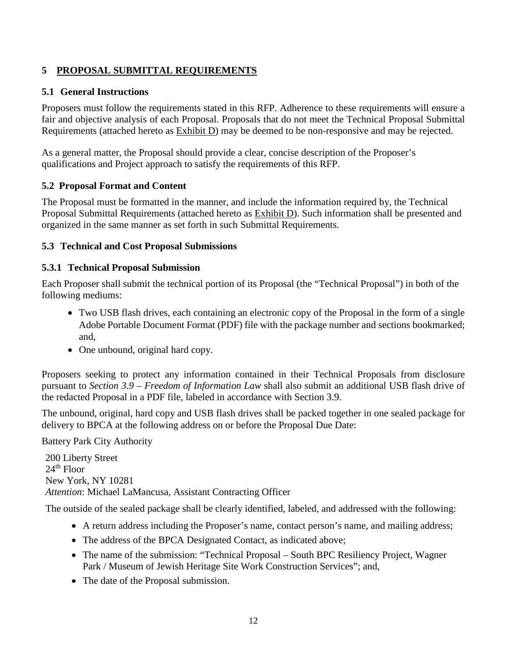## **5 PROPOSAL SUBMITTAL REQUIREMENTS**

### **5.1 General Instructions**

Proposers must follow the requirements stated in this RFP. Adherence to these requirements will ensure a fair and objective analysis of each Proposal. Proposals that do not meet the Technical Proposal Submittal Requirements (attached hereto as Exhibit D) may be deemed to be non-responsive and may be rejected.

As a general matter, the Proposal should provide a clear, concise description of the Proposer's qualifications and Project approach to satisfy the requirements of this RFP.

## **5.2 Proposal Format and Content**

The Proposal must be formatted in the manner, and include the information required by, the Technical Proposal Submittal Requirements (attached hereto as Exhibit D). Such information shall be presented and organized in the same manner as set forth in such Submittal Requirements.

## **5.3 Technical and Cost Proposal Submissions**

## **5.3.1 Technical Proposal Submission**

Each Proposer shall submit the technical portion of its Proposal (the "Technical Proposal") in both of the following mediums:

- Two USB flash drives, each containing an electronic copy of the Proposal in the form of a single Adobe Portable Document Format (PDF) file with the package number and sections bookmarked; and,
- One unbound, original hard copy.

Proposers seeking to protect any information contained in their Technical Proposals from disclosure pursuant to *Section 3.9 – Freedom of Information Law* shall also submit an additional USB flash drive of the redacted Proposal in a PDF file, labeled in accordance with Section 3.9.

The unbound, original, hard copy and USB flash drives shall be packed together in one sealed package for delivery to BPCA at the following address on or before the Proposal Due Date:

Battery Park City Authority

200 Liberty Street  $24<sup>th</sup>$  Floor New York, NY 10281 *Attention*: Michael LaMancusa, Assistant Contracting Officer

The outside of the sealed package shall be clearly identified, labeled, and addressed with the following:

- A return address including the Proposer's name, contact person's name, and mailing address;
- The address of the BPCA Designated Contact, as indicated above;
- The name of the submission: "Technical Proposal South BPC Resiliency Project, Wagner Park / Museum of Jewish Heritage Site Work Construction Services"; and,
- The date of the Proposal submission.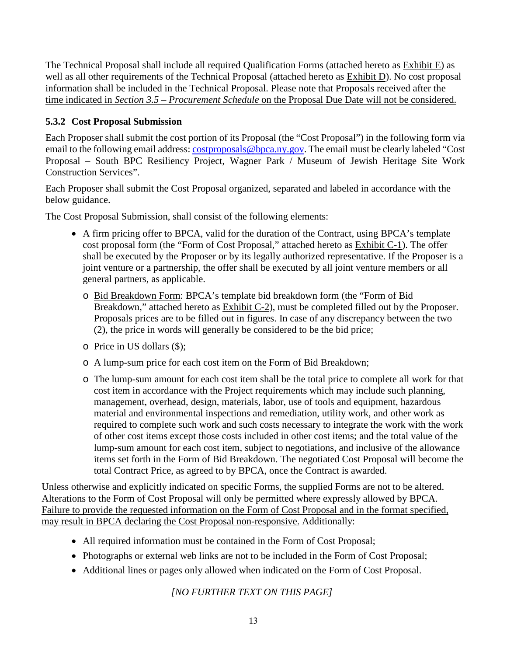The Technical Proposal shall include all required Qualification Forms (attached hereto as Exhibit E) as well as all other requirements of the Technical Proposal (attached hereto as Exhibit D). No cost proposal information shall be included in the Technical Proposal. Please note that Proposals received after the time indicated in *Section 3.5 – Procurement Schedule* on the Proposal Due Date will not be considered.

## **5.3.2 Cost Proposal Submission**

Each Proposer shall submit the cost portion of its Proposal (the "Cost Proposal") in the following form via email to the following email address[: costproposals@bpca.ny.gov.](mailto:costproposals@bpca.ny.gov) The email must be clearly labeled "Cost Proposal – South BPC Resiliency Project, Wagner Park / Museum of Jewish Heritage Site Work Construction Services".

Each Proposer shall submit the Cost Proposal organized, separated and labeled in accordance with the below guidance.

The Cost Proposal Submission, shall consist of the following elements:

- A firm pricing offer to BPCA, valid for the duration of the Contract, using BPCA's template cost proposal form (the "Form of Cost Proposal," attached hereto as Exhibit C-1). The offer shall be executed by the Proposer or by its legally authorized representative. If the Proposer is a joint venture or a partnership, the offer shall be executed by all joint venture members or all general partners, as applicable.
	- o Bid Breakdown Form: BPCA's template bid breakdown form (the "Form of Bid Breakdown," attached hereto as Exhibit C-2), must be completed filled out by the Proposer. Proposals prices are to be filled out in figures. In case of any discrepancy between the two (2), the price in words will generally be considered to be the bid price;
	- o Price in US dollars (\$);
	- o A lump-sum price for each cost item on the Form of Bid Breakdown;
	- o The lump-sum amount for each cost item shall be the total price to complete all work for that cost item in accordance with the Project requirements which may include such planning, management, overhead, design, materials, labor, use of tools and equipment, hazardous material and environmental inspections and remediation, utility work, and other work as required to complete such work and such costs necessary to integrate the work with the work of other cost items except those costs included in other cost items; and the total value of the lump-sum amount for each cost item, subject to negotiations, and inclusive of the allowance items set forth in the Form of Bid Breakdown. The negotiated Cost Proposal will become the total Contract Price, as agreed to by BPCA, once the Contract is awarded.

Unless otherwise and explicitly indicated on specific Forms, the supplied Forms are not to be altered. Alterations to the Form of Cost Proposal will only be permitted where expressly allowed by BPCA. Failure to provide the requested information on the Form of Cost Proposal and in the format specified, may result in BPCA declaring the Cost Proposal non-responsive. Additionally:

- All required information must be contained in the Form of Cost Proposal;
- Photographs or external web links are not to be included in the Form of Cost Proposal;
- Additional lines or pages only allowed when indicated on the Form of Cost Proposal.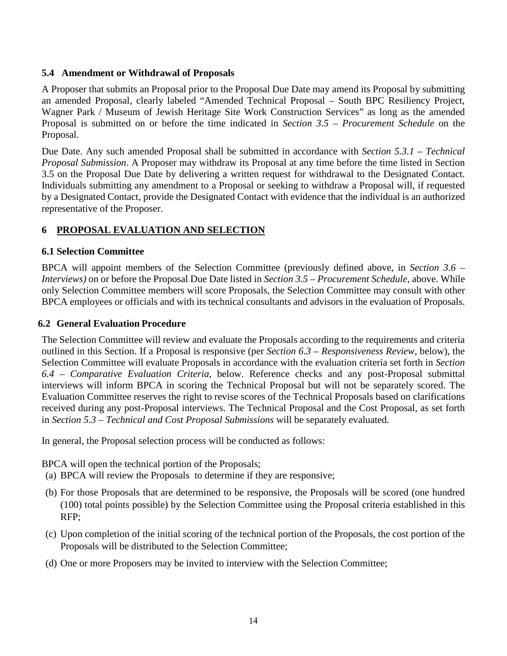#### **5.4 Amendment or Withdrawal of Proposals**

A Proposer that submits an Proposal prior to the Proposal Due Date may amend its Proposal by submitting an amended Proposal, clearly labeled "Amended Technical Proposal – South BPC Resiliency Project, Wagner Park / Museum of Jewish Heritage Site Work Construction Services" as long as the amended Proposal is submitted on or before the time indicated in *Section 3.5 – Procurement Schedule* on the Proposal.

Due Date. Any such amended Proposal shall be submitted in accordance with *Section 5.3.1 – Technical Proposal Submission*. A Proposer may withdraw its Proposal at any time before the time listed in Section 3.5 on the Proposal Due Date by delivering a written request for withdrawal to the Designated Contact. Individuals submitting any amendment to a Proposal or seeking to withdraw a Proposal will, if requested by a Designated Contact, provide the Designated Contact with evidence that the individual is an authorized representative of the Proposer.

#### **6 PROPOSAL EVALUATION AND SELECTION**

#### **6.1 Selection Committee**

BPCA will appoint members of the Selection Committee (previously defined above, in *Section 3.6 – Interviews)* on or before the Proposal Due Date listed in *Section 3.5 – Procurement Schedule*, above. While only Selection Committee members will score Proposals, the Selection Committee may consult with other BPCA employees or officials and with its technical consultants and advisors in the evaluation of Proposals.

#### **6.2 General Evaluation Procedure**

The Selection Committee will review and evaluate the Proposals according to the requirements and criteria outlined in this Section. If a Proposal is responsive (per *Section 6.3 – Responsiveness Review*, below), the Selection Committee will evaluate Proposals in accordance with the evaluation criteria set forth in *Section 6.4 – Comparative Evaluation Criteria*, below. Reference checks and any post-Proposal submittal interviews will inform BPCA in scoring the Technical Proposal but will not be separately scored. The Evaluation Committee reserves the right to revise scores of the Technical Proposals based on clarifications received during any post-Proposal interviews. The Technical Proposal and the Cost Proposal, as set forth in *Section 5.3 – Technical and Cost Proposal Submissions* will be separately evaluated.

In general, the Proposal selection process will be conducted as follows:

BPCA will open the technical portion of the Proposals;

(a) BPCA will review the Proposals to determine if they are responsive;

- (b) For those Proposals that are determined to be responsive, the Proposals will be scored (one hundred (100) total points possible) by the Selection Committee using the Proposal criteria established in this RFP;
- (c) Upon completion of the initial scoring of the technical portion of the Proposals, the cost portion of the Proposals will be distributed to the Selection Committee;
- (d) One or more Proposers may be invited to interview with the Selection Committee;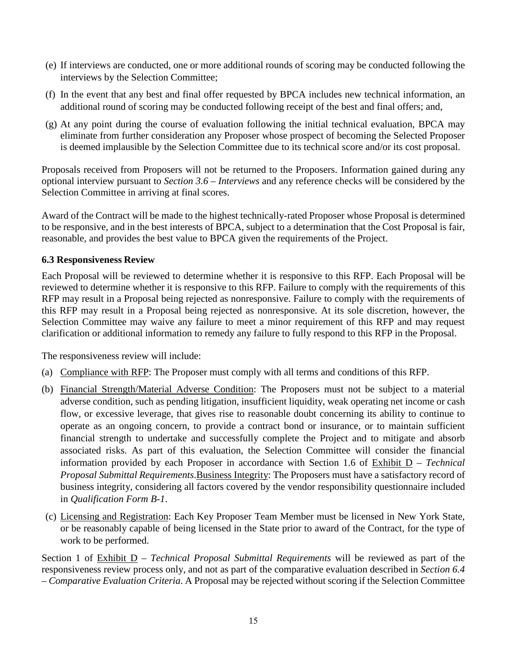- (e) If interviews are conducted, one or more additional rounds of scoring may be conducted following the interviews by the Selection Committee;
- (f) In the event that any best and final offer requested by BPCA includes new technical information, an additional round of scoring may be conducted following receipt of the best and final offers; and,
- (g) At any point during the course of evaluation following the initial technical evaluation, BPCA may eliminate from further consideration any Proposer whose prospect of becoming the Selected Proposer is deemed implausible by the Selection Committee due to its technical score and/or its cost proposal.

Proposals received from Proposers will not be returned to the Proposers. Information gained during any optional interview pursuant to *Section 3.6 – Interviews* and any reference checks will be considered by the Selection Committee in arriving at final scores.

Award of the Contract will be made to the highest technically-rated Proposer whose Proposal is determined to be responsive, and in the best interests of BPCA, subject to a determination that the Cost Proposal is fair, reasonable, and provides the best value to BPCA given the requirements of the Project.

## **6.3 Responsiveness Review**

Each Proposal will be reviewed to determine whether it is responsive to this RFP. Each Proposal will be reviewed to determine whether it is responsive to this RFP. Failure to comply with the requirements of this RFP may result in a Proposal being rejected as nonresponsive. Failure to comply with the requirements of this RFP may result in a Proposal being rejected as nonresponsive. At its sole discretion, however, the Selection Committee may waive any failure to meet a minor requirement of this RFP and may request clarification or additional information to remedy any failure to fully respond to this RFP in the Proposal.

The responsiveness review will include:

- (a) Compliance with RFP: The Proposer must comply with all terms and conditions of this RFP.
- (b) Financial Strength/Material Adverse Condition: The Proposers must not be subject to a material adverse condition, such as pending litigation, insufficient liquidity, weak operating net income or cash flow, or excessive leverage, that gives rise to reasonable doubt concerning its ability to continue to operate as an ongoing concern, to provide a contract bond or insurance, or to maintain sufficient financial strength to undertake and successfully complete the Project and to mitigate and absorb associated risks. As part of this evaluation, the Selection Committee will consider the financial information provided by each Proposer in accordance with Section 1.6 of Exhibit D – *Technical Proposal Submittal Requirements*.Business Integrity: The Proposers must have a satisfactory record of business integrity, considering all factors covered by the vendor responsibility questionnaire included in *Qualification Form B-1*.
- (c) Licensing and Registration: Each Key Proposer Team Member must be licensed in New York State, or be reasonably capable of being licensed in the State prior to award of the Contract, for the type of work to be performed.

Section 1 of Exhibit D – *Technical Proposal Submittal Requirements* will be reviewed as part of the responsiveness review process only, and not as part of the comparative evaluation described in *Section 6.4 – Comparative Evaluation Criteria*. A Proposal may be rejected without scoring if the Selection Committee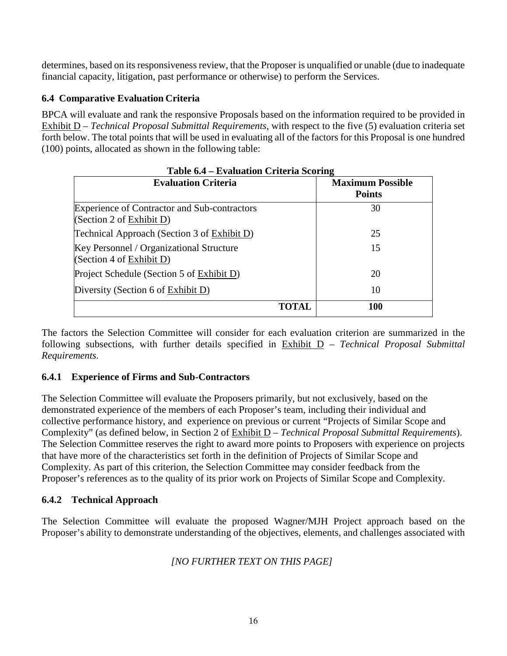determines, based on its responsiveness review, that the Proposer is unqualified or unable (due to inadequate financial capacity, litigation, past performance or otherwise) to perform the Services.

## **6.4 Comparative Evaluation Criteria**

BPCA will evaluate and rank the responsive Proposals based on the information required to be provided in Exhibit D – *Technical Proposal Submittal Requirements*, with respect to the five (5) evaluation criteria set forth below. The total points that will be used in evaluating all of the factors for this Proposal is one hundred (100) points, allocated as shown in the following table:

| Table 6.4 – Evaluation Criteria Scoring                                         |       |                                          |  |  |
|---------------------------------------------------------------------------------|-------|------------------------------------------|--|--|
| <b>Evaluation Criteria</b>                                                      |       | <b>Maximum Possible</b><br><b>Points</b> |  |  |
| <b>Experience of Contractor and Sub-contractors</b><br>(Section 2 of Exhibit D) |       | 30                                       |  |  |
| Technical Approach (Section 3 of Exhibit D)                                     |       | 25                                       |  |  |
| Key Personnel / Organizational Structure<br>(Section 4 of $Exhibit D$ )         |       | 15                                       |  |  |
| Project Schedule (Section 5 of Exhibit D)                                       |       | 20                                       |  |  |
| Diversity (Section 6 of Exhibit D)                                              |       | 10                                       |  |  |
|                                                                                 | TOTAL | 100                                      |  |  |

The factors the Selection Committee will consider for each evaluation criterion are summarized in the following subsections, with further details specified in Exhibit D – *Technical Proposal Submittal Requirements*.

#### **6.4.1 Experience of Firms and Sub-Contractors**

The Selection Committee will evaluate the Proposers primarily, but not exclusively, based on the demonstrated experience of the members of each Proposer's team, including their individual and collective performance history, and experience on previous or current "Projects of Similar Scope and Complexity" (as defined below, in Section 2 of Exhibit D – *Technical Proposal Submittal Requirements*). The Selection Committee reserves the right to award more points to Proposers with experience on projects that have more of the characteristics set forth in the definition of Projects of Similar Scope and Complexity. As part of this criterion, the Selection Committee may consider feedback from the Proposer's references as to the quality of its prior work on Projects of Similar Scope and Complexity.

#### **6.4.2 Technical Approach**

The Selection Committee will evaluate the proposed Wagner/MJH Project approach based on the Proposer's ability to demonstrate understanding of the objectives, elements, and challenges associated with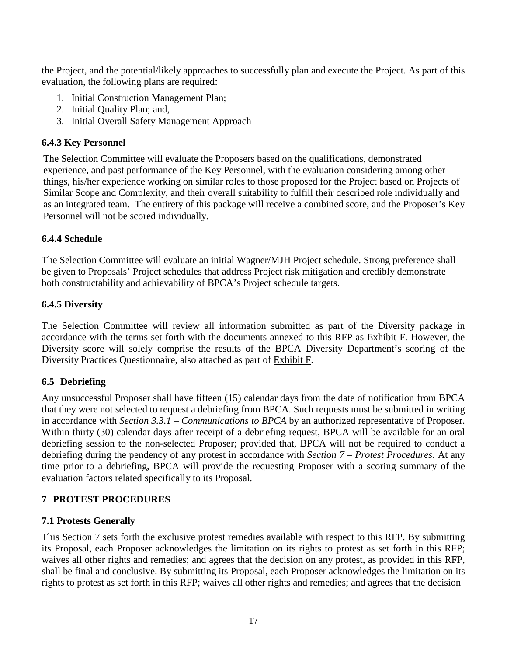the Project, and the potential/likely approaches to successfully plan and execute the Project. As part of this evaluation, the following plans are required:

- 1. Initial Construction Management Plan;
- 2. Initial Quality Plan; and,
- 3. Initial Overall Safety Management Approach

### **6.4.3 Key Personnel**

The Selection Committee will evaluate the Proposers based on the qualifications, demonstrated experience, and past performance of the Key Personnel, with the evaluation considering among other things, his/her experience working on similar roles to those proposed for the Project based on Projects of Similar Scope and Complexity, and their overall suitability to fulfill their described role individually and as an integrated team. The entirety of this package will receive a combined score, and the Proposer's Key Personnel will not be scored individually.

## **6.4.4 Schedule**

The Selection Committee will evaluate an initial Wagner/MJH Project schedule. Strong preference shall be given to Proposals' Project schedules that address Project risk mitigation and credibly demonstrate both constructability and achievability of BPCA's Project schedule targets.

## **6.4.5 Diversity**

The Selection Committee will review all information submitted as part of the Diversity package in accordance with the terms set forth with the documents annexed to this RFP as Exhibit F. However, the Diversity score will solely comprise the results of the BPCA Diversity Department's scoring of the Diversity Practices Questionnaire, also attached as part of Exhibit F.

## **6.5 Debriefing**

Any unsuccessful Proposer shall have fifteen (15) calendar days from the date of notification from BPCA that they were not selected to request a debriefing from BPCA. Such requests must be submitted in writing in accordance with *Section 3.3.1 – Communications to BPCA* by an authorized representative of Proposer. Within thirty (30) calendar days after receipt of a debriefing request, BPCA will be available for an oral debriefing session to the non-selected Proposer; provided that, BPCA will not be required to conduct a debriefing during the pendency of any protest in accordance with *Section 7 – Protest Procedures*. At any time prior to a debriefing, BPCA will provide the requesting Proposer with a scoring summary of the evaluation factors related specifically to its Proposal.

## **7 PROTEST PROCEDURES**

#### **7.1 Protests Generally**

This Section 7 sets forth the exclusive protest remedies available with respect to this RFP. By submitting its Proposal, each Proposer acknowledges the limitation on its rights to protest as set forth in this RFP; waives all other rights and remedies; and agrees that the decision on any protest, as provided in this RFP, shall be final and conclusive. By submitting its Proposal, each Proposer acknowledges the limitation on its rights to protest as set forth in this RFP; waives all other rights and remedies; and agrees that the decision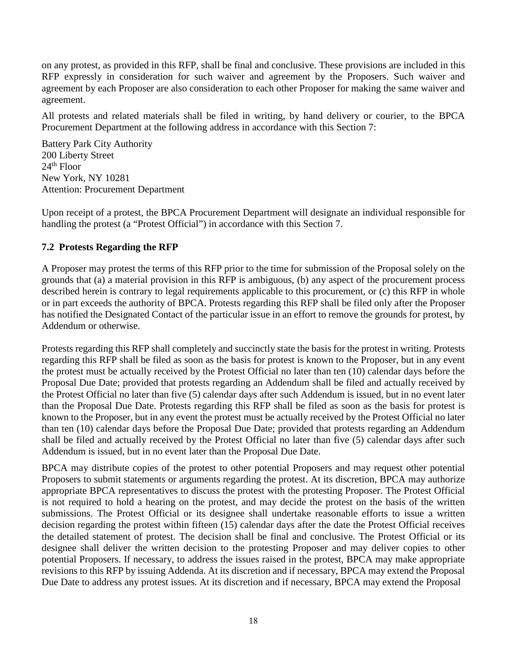on any protest, as provided in this RFP, shall be final and conclusive. These provisions are included in this RFP expressly in consideration for such waiver and agreement by the Proposers. Such waiver and agreement by each Proposer are also consideration to each other Proposer for making the same waiver and agreement.

All protests and related materials shall be filed in writing, by hand delivery or courier, to the BPCA Procurement Department at the following address in accordance with this Section 7:

Battery Park City Authority 200 Liberty Street 24th Floor New York, NY 10281 Attention: Procurement Department

Upon receipt of a protest, the BPCA Procurement Department will designate an individual responsible for handling the protest (a "Protest Official") in accordance with this Section 7.

## **7.2 Protests Regarding the RFP**

A Proposer may protest the terms of this RFP prior to the time for submission of the Proposal solely on the grounds that (a) a material provision in this RFP is ambiguous, (b) any aspect of the procurement process described herein is contrary to legal requirements applicable to this procurement, or (c) this RFP in whole or in part exceeds the authority of BPCA. Protests regarding this RFP shall be filed only after the Proposer has notified the Designated Contact of the particular issue in an effort to remove the grounds for protest, by Addendum or otherwise.

Protests regarding this RFP shall completely and succinctly state the basis for the protest in writing. Protests regarding this RFP shall be filed as soon as the basis for protest is known to the Proposer, but in any event the protest must be actually received by the Protest Official no later than ten (10) calendar days before the Proposal Due Date; provided that protests regarding an Addendum shall be filed and actually received by the Protest Official no later than five (5) calendar days after such Addendum is issued, but in no event later than the Proposal Due Date. Protests regarding this RFP shall be filed as soon as the basis for protest is known to the Proposer, but in any event the protest must be actually received by the Protest Official no later than ten (10) calendar days before the Proposal Due Date; provided that protests regarding an Addendum shall be filed and actually received by the Protest Official no later than five (5) calendar days after such Addendum is issued, but in no event later than the Proposal Due Date.

BPCA may distribute copies of the protest to other potential Proposers and may request other potential Proposers to submit statements or arguments regarding the protest. At its discretion, BPCA may authorize appropriate BPCA representatives to discuss the protest with the protesting Proposer. The Protest Official is not required to hold a hearing on the protest, and may decide the protest on the basis of the written submissions. The Protest Official or its designee shall undertake reasonable efforts to issue a written decision regarding the protest within fifteen (15) calendar days after the date the Protest Official receives the detailed statement of protest. The decision shall be final and conclusive. The Protest Official or its designee shall deliver the written decision to the protesting Proposer and may deliver copies to other potential Proposers. If necessary, to address the issues raised in the protest, BPCA may make appropriate revisions to this RFP by issuing Addenda. At its discretion and if necessary, BPCA may extend the Proposal Due Date to address any protest issues. At its discretion and if necessary, BPCA may extend the Proposal